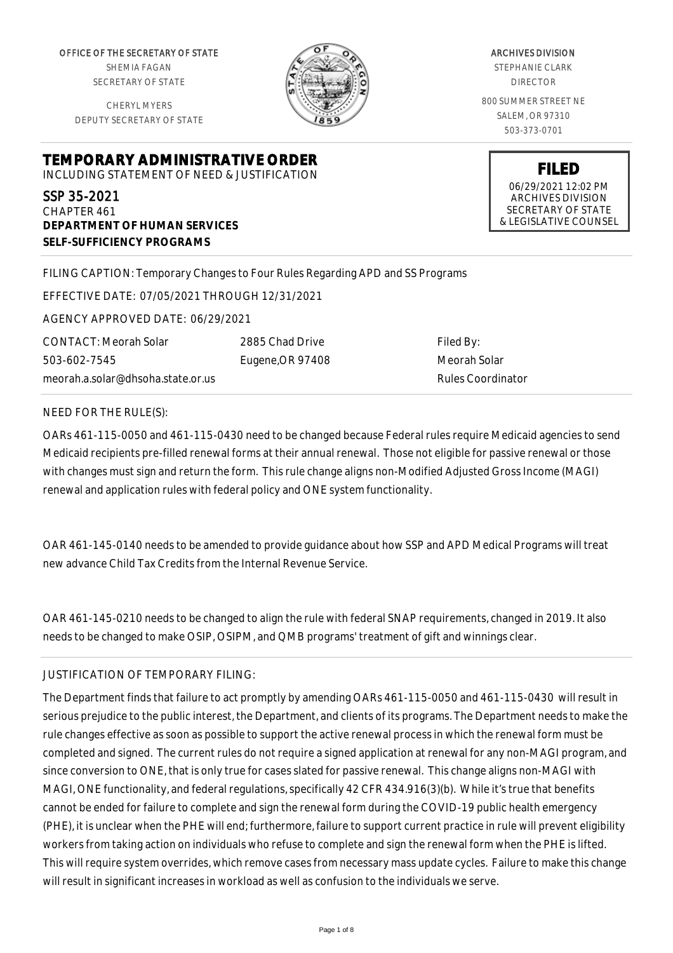OFFICE OF THE SECRETARY OF STATE SHEMIA FAGAN SECRETARY OF STATE

CHERYL MYERS DEPUTY SECRETARY OF STATE



ARCHIVES DIVISION STEPHANIE CLARK DIRECTOR 800 SUMMER STREET NE SALEM, OR 97310 503-373-0701

> **FILED** 06/29/2021 12:02 PM ARCHIVES DIVISION SECRETARY OF STATE & LEGISLATIVE COUNSEL

**TEMPORARY ADMINISTRATIVE ORDER**

INCLUDING STATEMENT OF NEED & JUSTIFICATION

SSP 35-2021 CHAPTER 461 **DEPARTMENT OF HUMAN SERVICES SELF-SUFFICIENCY PROGRAMS**

FILING CAPTION: Temporary Changes to Four Rules Regarding APD and SS Programs

EFFECTIVE DATE: 07/05/2021 THROUGH 12/31/2021

AGENCY APPROVED DATE: 06/29/2021

CONTACT: Meorah Solar 503-602-7545 meorah.a.solar@dhsoha.state.or.us 2885 Chad Drive Eugene,OR 97408

Filed By: Meorah Solar Rules Coordinator

NEED FOR THE RULE(S):

OARs 461-115-0050 and 461-115-0430 need to be changed because Federal rules require Medicaid agencies to send Medicaid recipients pre-filled renewal forms at their annual renewal. Those not eligible for passive renewal or those with changes must sign and return the form. This rule change aligns non-Modified Adjusted Gross Income (MAGI) renewal and application rules with federal policy and ONE system functionality.

OAR 461-145-0140 needs to be amended to provide guidance about how SSP and APD Medical Programs will treat new advance Child Tax Credits from the Internal Revenue Service.

OAR 461-145-0210 needs to be changed to align the rule with federal SNAP requirements, changed in 2019. It also needs to be changed to make OSIP, OSIPM, and QMB programs' treatment of gift and winnings clear.

# JUSTIFICATION OF TEMPORARY FILING:

The Department finds that failure to act promptly by amending OARs 461-115-0050 and 461-115-0430 will result in serious prejudice to the public interest, the Department, and clients of its programs. The Department needs to make the rule changes effective as soon as possible to support the active renewal process in which the renewal form must be completed and signed. The current rules do not require a signed application at renewal for any non-MAGI program, and since conversion to ONE, that is only true for cases slated for passive renewal. This change aligns non-MAGI with MAGI, ONE functionality, and federal regulations, specifically 42 CFR 434.916(3)(b). While it's true that benefits cannot be ended for failure to complete and sign the renewal form during the COVID-19 public health emergency (PHE), it is unclear when the PHE will end; furthermore, failure to support current practice in rule will prevent eligibility workers from taking action on individuals who refuse to complete and sign the renewal form when the PHE is lifted. This will require system overrides, which remove cases from necessary mass update cycles. Failure to make this change will result in significant increases in workload as well as confusion to the individuals we serve.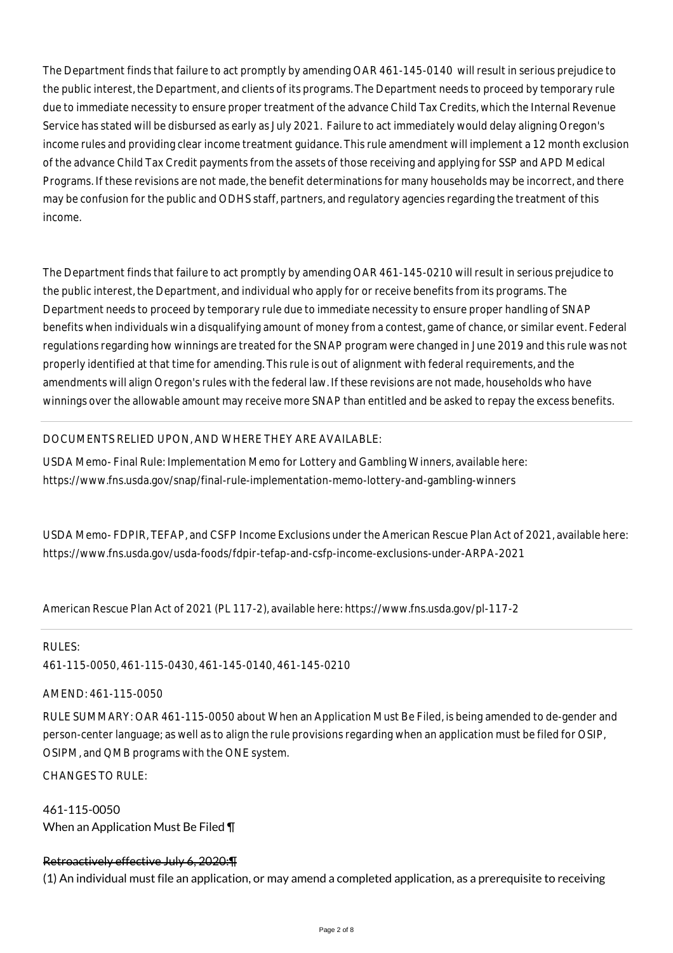The Department finds that failure to act promptly by amending OAR 461-145-0140 will result in serious prejudice to the public interest, the Department, and clients of its programs. The Department needs to proceed by temporary rule due to immediate necessity to ensure proper treatment of the advance Child Tax Credits, which the Internal Revenue Service has stated will be disbursed as early as July 2021. Failure to act immediately would delay aligning Oregon's income rules and providing clear income treatment guidance. This rule amendment will implement a 12 month exclusion of the advance Child Tax Credit payments from the assets of those receiving and applying for SSP and APD Medical Programs. If these revisions are not made, the benefit determinations for many households may be incorrect, and there may be confusion for the public and ODHS staff, partners, and regulatory agencies regarding the treatment of this income.

The Department finds that failure to act promptly by amending OAR 461-145-0210 will result in serious prejudice to the public interest, the Department, and individual who apply for or receive benefits from its programs. The Department needs to proceed by temporary rule due to immediate necessity to ensure proper handling of SNAP benefits when individuals win a disqualifying amount of money from a contest, game of chance, or similar event. Federal regulations regarding how winnings are treated for the SNAP program were changed in June 2019 and this rule was not properly identified at that time for amending. This rule is out of alignment with federal requirements, and the amendments will align Oregon's rules with the federal law. If these revisions are not made, households who have winnings over the allowable amount may receive more SNAP than entitled and be asked to repay the excess benefits.

## DOCUMENTS RELIED UPON, AND WHERE THEY ARE AVAILABLE:

USDA Memo- Final Rule: Implementation Memo for Lottery and Gambling Winners, available here: https://www.fns.usda.gov/snap/final-rule-implementation-memo-lottery-and-gambling-winners

USDA Memo- FDPIR, TEFAP, and CSFP Income Exclusions under the American Rescue Plan Act of 2021, available here: https://www.fns.usda.gov/usda-foods/fdpir-tefap-and-csfp-income-exclusions-under-ARPA-2021

American Rescue Plan Act of 2021 (PL 117-2), available here: https://www.fns.usda.gov/pl-117-2

RULES: 461-115-0050, 461-115-0430, 461-145-0140, 461-145-0210

## AMEND: 461-115-0050

RULE SUMMARY: OAR 461-115-0050 about When an Application Must Be Filed, is being amended to de-gender and person-center language; as well as to align the rule provisions regarding when an application must be filed for OSIP, OSIPM, and QMB programs with the ONE system.

 $CHANGESTORUIF$ 

461-115-0050 When an Application Must Be Filed ¶

# Retroactively effective July 6, 2020:¶

(1) An individual must file an application, or may amend a completed application, as a prerequisite to receiving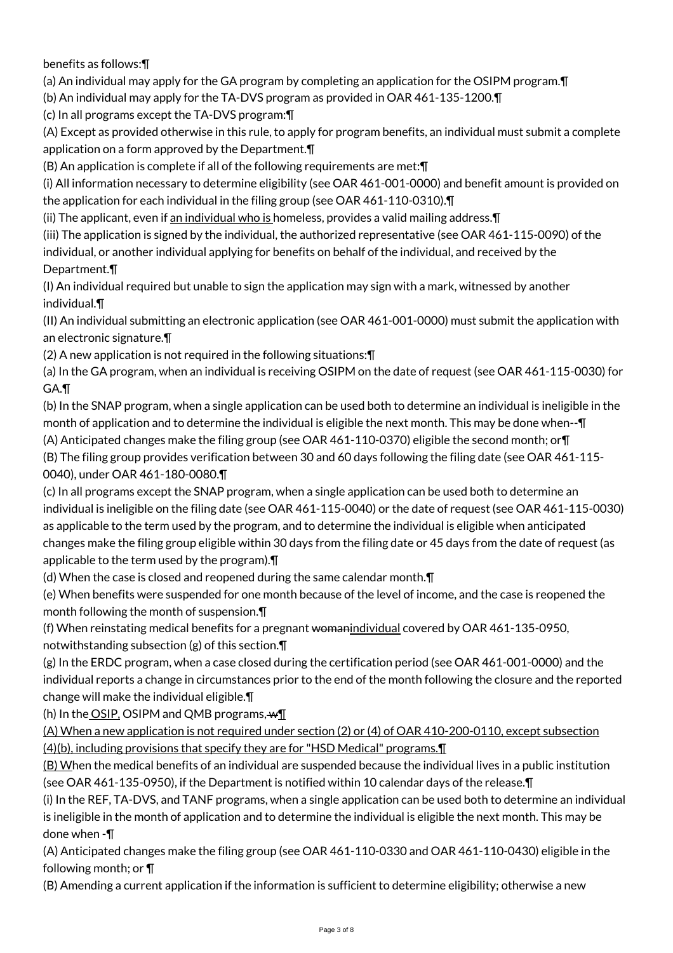benefits as follows:¶

(a) An individual may apply for the GA program by completing an application for the OSIPM program.¶

(b) An individual may apply for the TA-DVS program as provided in OAR 461-135-1200.¶

(c) In all programs except the TA-DVS program:¶

(A) Except as provided otherwise in this rule, to apply for program benefits, an individual must submit a complete application on a form approved by the Department.¶

(B) An application is complete if all of the following requirements are met:¶

(i) All information necessary to determine eligibility (see OAR 461-001-0000) and benefit amount is provided on the application for each individual in the filing group (see OAR 461-110-0310).¶

(ii) The applicant, even if an individual who is homeless, provides a valid mailing address. $\P$ 

(iii) The application is signed by the individual, the authorized representative (see OAR 461-115-0090) of the individual, or another individual applying for benefits on behalf of the individual, and received by the Department.¶

(I) An individual required but unable to sign the application may sign with a mark, witnessed by another individual.¶

(II) An individual submitting an electronic application (see OAR 461-001-0000) must submit the application with an electronic signature.¶

(2) A new application is not required in the following situations:¶

(a) In the GA program, when an individual is receiving OSIPM on the date of request (see OAR 461-115-0030) for GA.¶

(b) In the SNAP program, when a single application can be used both to determine an individual is ineligible in the month of application and to determine the individual is eligible the next month. This may be done when--¶ (A) Anticipated changes make the filing group (see OAR 461-110-0370) eligible the second month; or¶

(B) The filing group provides verification between 30 and 60 days following the filing date (see OAR 461-115- 0040), under OAR 461-180-0080.¶

(c) In all programs except the SNAP program, when a single application can be used both to determine an individual is ineligible on the filing date (see OAR 461-115-0040) or the date of request (see OAR 461-115-0030) as applicable to the term used by the program, and to determine the individual is eligible when anticipated changes make the filing group eligible within 30 days from the filing date or 45 days from the date of request (as applicable to the term used by the program).¶

(d) When the case is closed and reopened during the same calendar month.¶

(e) When benefits were suspended for one month because of the level of income, and the case is reopened the month following the month of suspension.¶

(f) When reinstating medical benefits for a pregnant womanindividual covered by OAR 461-135-0950, notwithstanding subsection (g) of this section.¶

(g) In the ERDC program, when a case closed during the certification period (see OAR 461-001-0000) and the individual reports a change in circumstances prior to the end of the month following the closure and the reported change will make the individual eligible.¶

(h) In the OSIP, OSIPM and QMB programs,  $\mathbf{w}\mathbf{I}$ 

(A) When a new application is not required under section (2) or (4) of OAR 410-200-0110, except subsection (4)(b), including provisions that specify they are for "HSD Medical" programs.¶

(B) When the medical benefits of an individual are suspended because the individual lives in a public institution (see OAR 461-135-0950), if the Department is notified within 10 calendar days of the release.¶

(i) In the REF, TA-DVS, and TANF programs, when a single application can be used both to determine an individual is ineligible in the month of application and to determine the individual is eligible the next month. This may be done when -¶

(A) Anticipated changes make the filing group (see OAR 461-110-0330 and OAR 461-110-0430) eligible in the following month; or ¶

(B) Amending a current application if the information is sufficient to determine eligibility; otherwise a new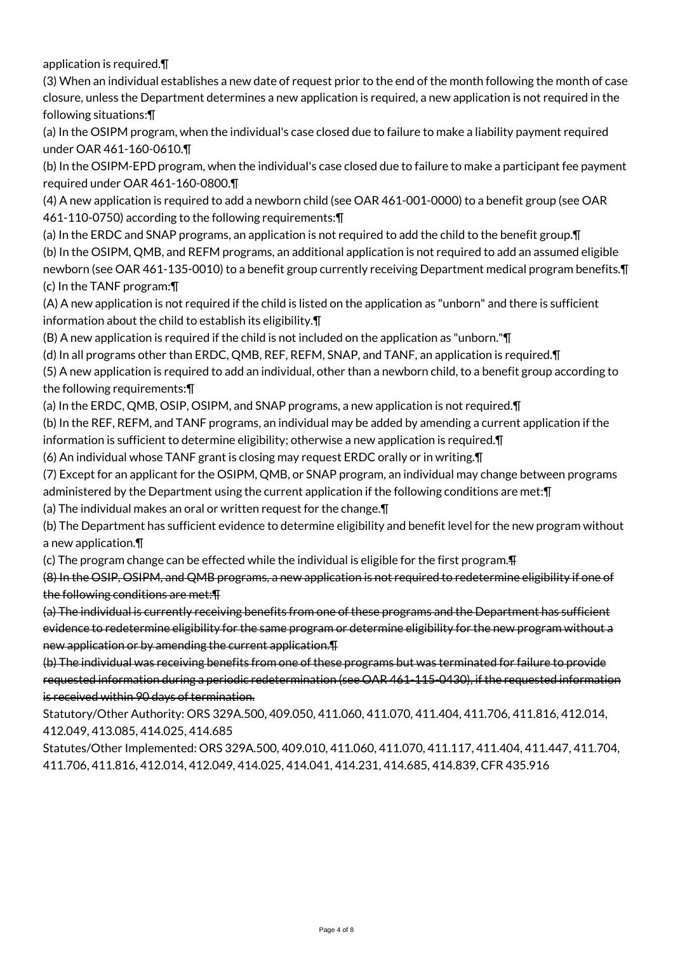application is required.¶

(3) When an individual establishes a new date of request prior to the end of the month following the month of case closure, unless the Department determines a new application is required, a new application is not required in the following situations:¶

(a) In the OSIPM program, when the individual's case closed due to failure to make a liability payment required under OAR 461-160-0610.¶

(b) In the OSIPM-EPD program, when the individual's case closed due to failure to make a participant fee payment required under OAR 461-160-0800.¶

(4) A new application is required to add a newborn child (see OAR 461-001-0000) to a benefit group (see OAR 461-110-0750) according to the following requirements:¶

(a) In the ERDC and SNAP programs, an application is not required to add the child to the benefit group.¶ (b) In the OSIPM, QMB, and REFM programs, an additional application is not required to add an assumed eligible newborn (see OAR 461-135-0010) to a benefit group currently receiving Department medical program benefits.¶ (c) In the TANF program:¶

(A) A new application is not required if the child is listed on the application as "unborn" and there is sufficient information about the child to establish its eligibility.¶

(B) A new application is required if the child is not included on the application as "unborn."¶

(d) In all programs other than ERDC, QMB, REF, REFM, SNAP, and TANF, an application is required.¶

(5) A new application is required to add an individual, other than a newborn child, to a benefit group according to the following requirements:¶

(a) In the ERDC, QMB, OSIP, OSIPM, and SNAP programs, a new application is not required.¶

(b) In the REF, REFM, and TANF programs, an individual may be added by amending a current application if the information is sufficient to determine eligibility; otherwise a new application is required.¶

(6) An individual whose TANF grant is closing may request ERDC orally or in writing.¶

- (7) Except for an applicant for the OSIPM, QMB, or SNAP program, an individual may change between programs
- administered by the Department using the current application if the following conditions are met:¶

(a) The individual makes an oral or written request for the change.¶

(b) The Department has sufficient evidence to determine eligibility and benefit level for the new program without a new application.¶

(c) The program change can be effected while the individual is eligible for the first program.¶

(8) In the OSIP, OSIPM, and QMB programs, a new application is not required to redetermine eligibility if one of the following conditions are met:¶

(a) The individual is currently receiving benefits from one of these programs and the Department has sufficient evidence to redetermine eligibility for the same program or determine eligibility for the new program without a new application or by amending the current application.¶

(b) The individual was receiving benefits from one of these programs but was terminated for failure to provide requested information during a periodic redetermination (see OAR 461-115-0430), if the requested information is received within 90 days of termination.

Statutory/Other Authority: ORS 329A.500, 409.050, 411.060, 411.070, 411.404, 411.706, 411.816, 412.014, 412.049, 413.085, 414.025, 414.685

Statutes/Other Implemented: ORS 329A.500, 409.010, 411.060, 411.070, 411.117, 411.404, 411.447, 411.704, 411.706, 411.816, 412.014, 412.049, 414.025, 414.041, 414.231, 414.685, 414.839, CFR 435.916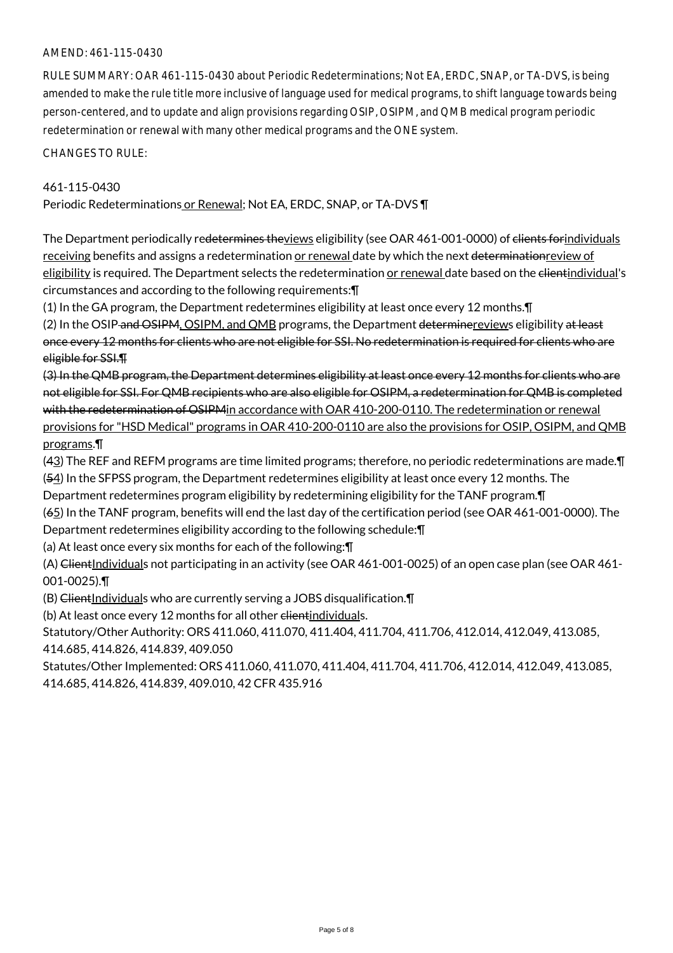### AMEND: 461-115-0430

RULE SUMMARY: OAR 461-115-0430 about Periodic Redeterminations; Not EA, ERDC, SNAP, or TA-DVS, is being amended to make the rule title more inclusive of language used for medical programs, to shift language towards being person-centered, and to update and align provisions regarding OSIP, OSIPM, and QMB medical program periodic redetermination or renewal with many other medical programs and the ONE system.

CHANGES TO RULE:

#### 461-115-0430

Periodic Redeterminations or Renewal; Not EA, ERDC, SNAP, or TA-DVS ¶

The Department periodically redetermines theviews eligibility (see OAR 461-001-0000) of elients forindividuals receiving benefits and assigns a redetermination or renewal date by which the next determinationreview of eligibility is required. The Department selects the redetermination or renewal date based on the clientindividual's circumstances and according to the following requirements:¶

(1) In the GA program, the Department redetermines eligibility at least once every 12 months.¶

(2) In the OSIP and OSIPM, OSIPM, and QMB programs, the Department determine reviews eligibility at least once every 12 months for clients who are not eligible for SSI. No redetermination is required for clients who are eligible for SSI.¶

(3) In the QMB program, the Department determines eligibility at least once every 12 months for clients who are not eligible for SSI. For QMB recipients who are also eligible for OSIPM, a redetermination for QMB is completed with the redetermination of OSIPM<sub>i</sub>n accordance with OAR 410-200-0110. The redetermination or renewal provisions for "HSD Medical" programs in OAR 410-200-0110 are also the provisions for OSIP, OSIPM, and QMB programs.¶

(43) The REF and REFM programs are time limited programs; therefore, no periodic redeterminations are made.¶ (54) In the SFPSS program, the Department redetermines eligibility at least once every 12 months. The

Department redetermines program eligibility by redetermining eligibility for the TANF program.¶

(65) In the TANF program, benefits will end the last day of the certification period (see OAR 461-001-0000). The Department redetermines eligibility according to the following schedule:¶

(a) At least once every six months for each of the following:¶

(A) ClientIndividuals not participating in an activity (see OAR 461-001-0025) of an open case plan (see OAR 461-001-0025).¶

(B) ClientIndividuals who are currently serving a JOBS disqualification.¶

(b) At least once every 12 months for all other elientindividuals.

Statutory/Other Authority: ORS 411.060, 411.070, 411.404, 411.704, 411.706, 412.014, 412.049, 413.085, 414.685, 414.826, 414.839, 409.050

Statutes/Other Implemented: ORS 411.060, 411.070, 411.404, 411.704, 411.706, 412.014, 412.049, 413.085, 414.685, 414.826, 414.839, 409.010, 42 CFR 435.916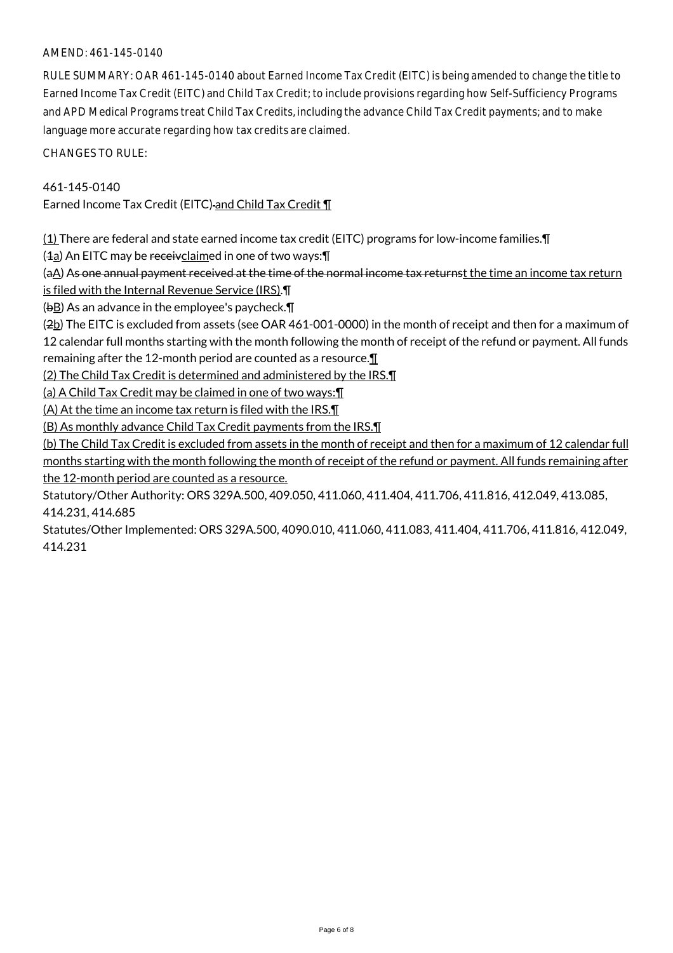## AMEND: 461-145-0140

RULE SUMMARY: OAR 461-145-0140 about Earned Income Tax Credit (EITC) is being amended to change the title to Earned Income Tax Credit (EITC) and Child Tax Credit; to include provisions regarding how Self-Sufficiency Programs and APD Medical Programs treat Child Tax Credits, including the advance Child Tax Credit payments; and to make language more accurate regarding how tax credits are claimed.

CHANGES TO RULE:

### 461-145-0140

Earned Income Tax Credit (EITC) and Child Tax Credit ¶

(1) There are federal and state earned income tax credit (EITC) programs for low-income families.¶

 $(4a)$  An EITC may be receivclaimed in one of two ways: $\P$ 

(aA) As one annual payment received at the time of the normal income tax returnst the time an income tax return is filed with the Internal Revenue Service (IRS).¶

(bB) As an advance in the employee's paycheck.¶

(2b) The EITC is excluded from assets (see OAR 461-001-0000) in the month of receipt and then for a maximum of 12 calendar full months starting with the month following the month of receipt of the refund or payment. All funds remaining after the 12-month period are counted as a resource.¶

(2) The Child Tax Credit is determined and administered by the IRS.¶

(a) A Child Tax Credit may be claimed in one of two ways:¶

(A) At the time an income tax return is filed with the IRS.¶

(B) As monthly advance Child Tax Credit payments from the IRS.¶

(b) The Child Tax Credit is excluded from assets in the month of receipt and then for a maximum of 12 calendar full months starting with the month following the month of receipt of the refund or payment. All funds remaining after the 12-month period are counted as a resource.

Statutory/Other Authority: ORS 329A.500, 409.050, 411.060, 411.404, 411.706, 411.816, 412.049, 413.085, 414.231, 414.685

Statutes/Other Implemented: ORS 329A.500, 4090.010, 411.060, 411.083, 411.404, 411.706, 411.816, 412.049, 414.231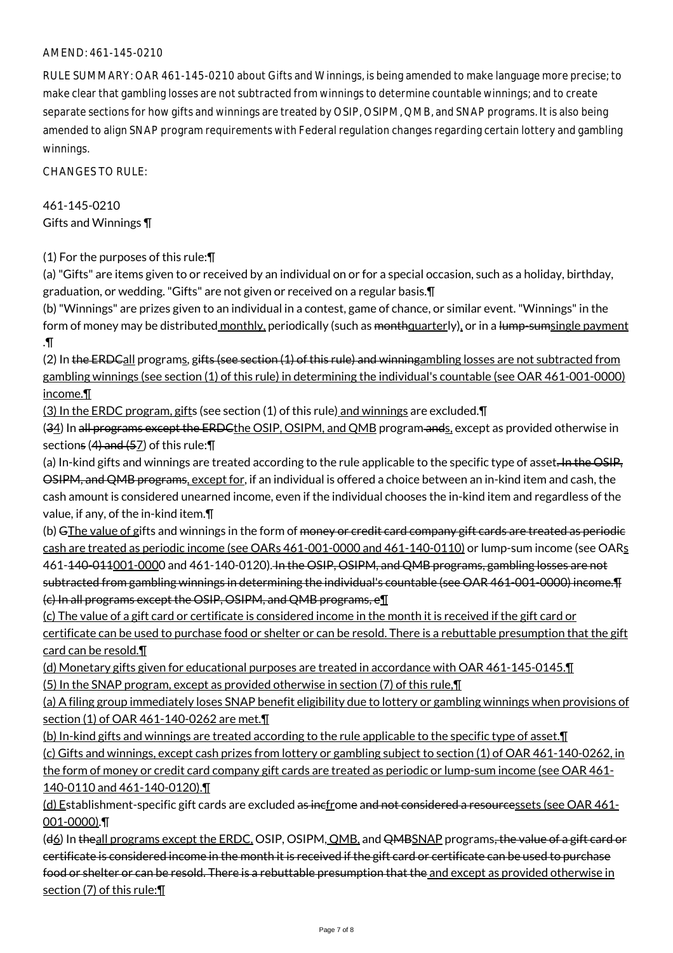## AMEND: 461-145-0210

RULE SUMMARY: OAR 461-145-0210 about Gifts and Winnings, is being amended to make language more precise; to make clear that gambling losses are not subtracted from winnings to determine countable winnings; and to create separate sections for how gifts and winnings are treated by OSIP, OSIPM, QMB, and SNAP programs. It is also being amended to align SNAP program requirements with Federal regulation changes regarding certain lottery and gambling winnings.

CHANGES TO RULE:

461-145-0210 Gifts and Winnings ¶

(1) For the purposes of this rule:¶

(a) "Gifts" are items given to or received by an individual on or for a special occasion, such as a holiday, birthday, graduation, or wedding. "Gifts" are not given or received on a regular basis.¶

(b) "Winnings" are prizes given to an individual in a contest, game of chance, or similar event. "Winnings" in the form of money may be distributed monthly, periodically (such as monthquarterly), or in a lump-sumsingle payment .¶

(2) In the ERDCall programs, gifts (see section (1) of this rule) and winningambling losses are not subtracted from gambling winnings (see section (1) of this rule) in determining the individual's countable (see OAR 461-001-0000) income.¶

(3) In the ERDC program, gifts (see section (1) of this rule) and winnings are excluded.¶

(34) In all programs except the ERDCthe OSIP, OSIPM, and QMB program ands, except as provided otherwise in sections  $(4)$  and  $(57)$  of this rule:  $\P$ 

(a) In-kind gifts and winnings are treated according to the rule applicable to the specific type of asset. In the OSIP, OSIPM, and QMB programs, except for, if an individual is offered a choice between an in-kind item and cash, the cash amount is considered unearned income, even if the individual chooses the in-kind item and regardless of the value, if any, of the in-kind item.¶

(b) GThe value of gifts and winnings in the form of money or credit card company gift cards are treated as periodic cash are treated as periodic income (see OARs 461-001-0000 and 461-140-0110) or lump-sum income (see OARs 461-140-011001-0000 and 461-140-0120). In the OSIP, OSIPM, and QMB programs, gambling losses are not subtracted from gambling winnings in determining the individual's countable (see OAR 461-001-0000) income.¶ (c) In all programs except the OSIP, OSIPM, and QMB programs, e¶

(c) The value of a gift card or certificate is considered income in the month it is received if the gift card or

certificate can be used to purchase food or shelter or can be resold. There is a rebuttable presumption that the gift card can be resold.¶

(d) Monetary gifts given for educational purposes are treated in accordance with OAR 461-145-0145.¶ (5) In the SNAP program, except as provided otherwise in section (7) of this rule,¶

(a) A filing group immediately loses SNAP benefit eligibility due to lottery or gambling winnings when provisions of section (1) of OAR 461-140-0262 are met.¶

(b) In-kind gifts and winnings are treated according to the rule applicable to the specific type of asset. I

(c) Gifts and winnings, except cash prizes from lottery or gambling subject to section (1) of OAR 461-140-0262, in the form of money or credit card company gift cards are treated as periodic or lump-sum income (see OAR 461- 140-0110 and 461-140-0120).¶

(d) Establishment-specific gift cards are excluded as incfrome and not considered a resourcessets (see OAR 461- 001-0000).¶

(d6) In theall programs except the ERDC, OSIP, OSIPM, QMB, and QMBSNAP programs, the value of a gift card or certificate is considered income in the month it is received if the gift card or certificate can be used to purchase food or shelter or can be resold. There is a rebuttable presumption that the and except as provided otherwise in section (7) of this rule:¶